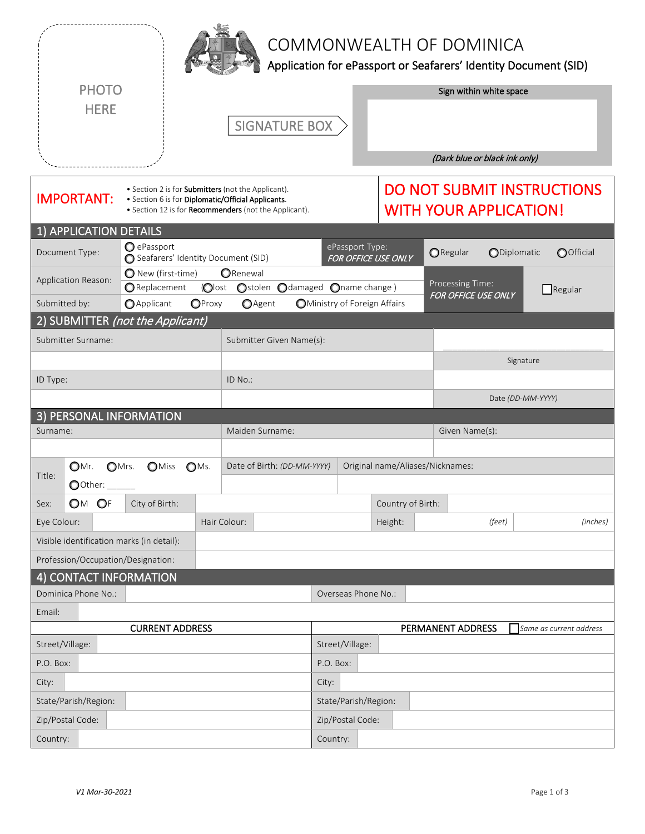|                                                                                                                                                                                                      |                                                   |                                                                 |                                                               |                                               |                                                                    | COMMONWEALTH OF DOMINICA      | Application for ePassport or Seafarers' Identity Document (SID) |  |  |  |
|------------------------------------------------------------------------------------------------------------------------------------------------------------------------------------------------------|---------------------------------------------------|-----------------------------------------------------------------|---------------------------------------------------------------|-----------------------------------------------|--------------------------------------------------------------------|-------------------------------|-----------------------------------------------------------------|--|--|--|
| <b>PHOTO</b><br><b>HERE</b>                                                                                                                                                                          |                                                   |                                                                 | <b>SIGNATURE BOX</b>                                          |                                               |                                                                    | Sign within white space       |                                                                 |  |  |  |
|                                                                                                                                                                                                      |                                                   |                                                                 |                                                               |                                               |                                                                    | (Dark blue or black ink only) |                                                                 |  |  |  |
| • Section 2 is for <b>Submitters</b> (not the Applicant).<br><b>IMPORTANT:</b><br>· Section 6 is for Diplomatic/Official Applicants.<br>• Section 12 is for <b>Recommenders</b> (not the Applicant). |                                                   |                                                                 |                                                               |                                               | <b>DO NOT SUBMIT INSTRUCTIONS</b><br><b>WITH YOUR APPLICATION!</b> |                               |                                                                 |  |  |  |
| 1) APPLICATION DETAILS                                                                                                                                                                               |                                                   |                                                                 |                                                               |                                               |                                                                    |                               |                                                                 |  |  |  |
| Document Type:                                                                                                                                                                                       | O ePassport<br>Seafarers' Identity Document (SID) |                                                                 |                                                               | ePassport Type:<br><b>FOR OFFICE USE ONLY</b> |                                                                    | ORegular                      | ODiplomatic<br>OOfficial                                        |  |  |  |
| Application Reason:                                                                                                                                                                                  | New (first-time)                                  | ORenewal                                                        |                                                               |                                               |                                                                    | Processing Time:              |                                                                 |  |  |  |
| Submitted by:                                                                                                                                                                                        | Replacement<br>OProxy<br><b>O</b> Applicant       | Ostolen<br>(Olost<br><b>O</b> Agent                             | Odamaged Oname change)<br><b>OMinistry of Foreign Affairs</b> |                                               |                                                                    | FOR OFFICE USE ONLY           | $\Box$ Regular                                                  |  |  |  |
|                                                                                                                                                                                                      | 2) SUBMITTER (not the Applicant)                  |                                                                 |                                                               |                                               |                                                                    |                               |                                                                 |  |  |  |
| Submitter Surname:                                                                                                                                                                                   |                                                   | Submitter Given Name(s):                                        |                                                               |                                               |                                                                    |                               |                                                                 |  |  |  |
|                                                                                                                                                                                                      |                                                   |                                                                 |                                                               |                                               |                                                                    |                               | Signature                                                       |  |  |  |
| ID Type:                                                                                                                                                                                             |                                                   | ID No.:                                                         |                                                               |                                               |                                                                    |                               |                                                                 |  |  |  |
|                                                                                                                                                                                                      |                                                   |                                                                 |                                                               |                                               |                                                                    |                               | Date (DD-MM-YYYY)                                               |  |  |  |
| 3) PERSONAL INFORMATION                                                                                                                                                                              |                                                   |                                                                 |                                                               |                                               |                                                                    |                               |                                                                 |  |  |  |
| Surname:                                                                                                                                                                                             |                                                   | Maiden Surname:                                                 |                                                               |                                               |                                                                    | Given Name(s):                |                                                                 |  |  |  |
| $_{OMr.}$                                                                                                                                                                                            | OMrs.<br><b>O</b> Miss<br>$OMs$ .                 | Date of Birth: (DD-MM-YYYY)                                     |                                                               |                                               | Original name/Aliases/Nicknames:                                   |                               |                                                                 |  |  |  |
| Title:<br>$\bigcirc$ Other:                                                                                                                                                                          |                                                   |                                                                 |                                                               |                                               |                                                                    |                               |                                                                 |  |  |  |
| $\bigcirc$ M<br>OF<br>Sex:                                                                                                                                                                           | City of Birth:                                    |                                                                 |                                                               |                                               | Country of Birth:                                                  |                               |                                                                 |  |  |  |
| Eye Colour:                                                                                                                                                                                          |                                                   | Hair Colour:                                                    |                                                               |                                               | Height:                                                            | (feet)                        | (inches)                                                        |  |  |  |
| Visible identification marks (in detail):                                                                                                                                                            |                                                   |                                                                 |                                                               |                                               |                                                                    |                               |                                                                 |  |  |  |
| Profession/Occupation/Designation:                                                                                                                                                                   |                                                   |                                                                 |                                                               |                                               |                                                                    |                               |                                                                 |  |  |  |
| 4) CONTACT INFORMATION                                                                                                                                                                               |                                                   |                                                                 |                                                               |                                               |                                                                    |                               |                                                                 |  |  |  |
| Dominica Phone No.:                                                                                                                                                                                  |                                                   |                                                                 |                                                               |                                               | Overseas Phone No.:                                                |                               |                                                                 |  |  |  |
| Email:                                                                                                                                                                                               | <b>CURRENT ADDRESS</b>                            |                                                                 |                                                               |                                               |                                                                    |                               |                                                                 |  |  |  |
| Street/Village:                                                                                                                                                                                      |                                                   | PERMANENT ADDRESS<br>Same as current address<br>Street/Village: |                                                               |                                               |                                                                    |                               |                                                                 |  |  |  |
| P.O. Box:                                                                                                                                                                                            |                                                   |                                                                 | P.O. Box:                                                     |                                               |                                                                    |                               |                                                                 |  |  |  |
| City:                                                                                                                                                                                                |                                                   |                                                                 | City:                                                         |                                               |                                                                    |                               |                                                                 |  |  |  |
| State/Parish/Region:                                                                                                                                                                                 |                                                   |                                                                 |                                                               | State/Parish/Region:                          |                                                                    |                               |                                                                 |  |  |  |
| Zip/Postal Code:                                                                                                                                                                                     |                                                   |                                                                 |                                                               | Zip/Postal Code:                              |                                                                    |                               |                                                                 |  |  |  |
| Country:                                                                                                                                                                                             |                                                   |                                                                 | Country:                                                      |                                               |                                                                    |                               |                                                                 |  |  |  |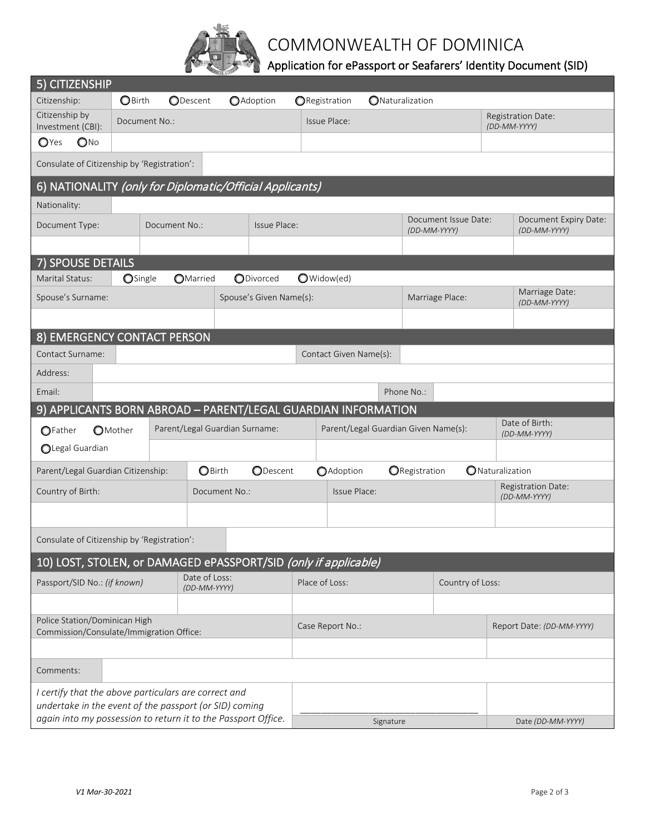

## COMMONWEALTH OF DOMINICA

## Application for ePassport or Seafarers' Identity Document (SID)

| 5) CITIZENSHIP                                                            |                               |  |                 |                                |                                      |                                      |                  |                                  |                                       |                                    |                                    |
|---------------------------------------------------------------------------|-------------------------------|--|-----------------|--------------------------------|--------------------------------------|--------------------------------------|------------------|----------------------------------|---------------------------------------|------------------------------------|------------------------------------|
| Citizenship:                                                              | <b>O</b> Birth                |  | <b>ODescent</b> | <b>O</b> Adoption              |                                      | <b>ORegistration</b>                 | ONaturalization  |                                  |                                       |                                    |                                    |
| Citizenship by<br>Investment (CBI):                                       | Document No.:                 |  |                 |                                | Issue Place:                         |                                      |                  |                                  |                                       | Registration Date:<br>(DD-MM-YYYY) |                                    |
| $\mathbb{O}N^{\circ}$<br>$\mathbf{O}$ Yes                                 |                               |  |                 |                                |                                      |                                      |                  |                                  |                                       |                                    |                                    |
| Consulate of Citizenship by 'Registration':                               |                               |  |                 |                                |                                      |                                      |                  |                                  |                                       |                                    |                                    |
| 6) NATIONALITY (only for Diplomatic/Official Applicants)                  |                               |  |                 |                                |                                      |                                      |                  |                                  |                                       |                                    |                                    |
| Nationality:                                                              |                               |  |                 |                                |                                      |                                      |                  |                                  |                                       |                                    |                                    |
| Document Type:                                                            | Issue Place:<br>Document No.: |  |                 |                                | Document Issue Date:<br>(DD-MM-YYYY) |                                      |                  |                                  | Document Expiry Date:<br>(DD-MM-YYYY) |                                    |                                    |
|                                                                           |                               |  |                 |                                |                                      |                                      |                  |                                  |                                       |                                    |                                    |
| 7) SPOUSE DETAILS                                                         |                               |  |                 |                                |                                      |                                      |                  |                                  |                                       |                                    |                                    |
| Marital Status:                                                           | OSingle                       |  | <b>OMarried</b> | ODivorced                      |                                      | O Widow(ed)                          |                  |                                  |                                       |                                    |                                    |
| Spouse's Surname:                                                         |                               |  |                 | Spouse's Given Name(s):        |                                      |                                      |                  |                                  | Marriage Place:                       |                                    | Marriage Date:<br>(DD-MM-YYYY)     |
|                                                                           |                               |  |                 |                                |                                      |                                      |                  |                                  |                                       |                                    |                                    |
| 8) EMERGENCY CONTACT PERSON                                               |                               |  |                 |                                |                                      |                                      |                  |                                  |                                       |                                    |                                    |
| <b>Contact Surname:</b>                                                   |                               |  |                 |                                |                                      | Contact Given Name(s):               |                  |                                  |                                       |                                    |                                    |
| Address:                                                                  |                               |  |                 |                                |                                      |                                      |                  |                                  |                                       |                                    |                                    |
| Email:                                                                    |                               |  |                 |                                |                                      |                                      |                  | Phone No.:                       |                                       |                                    |                                    |
| 9) APPLICANTS BORN ABROAD - PARENT/LEGAL GUARDIAN INFORMATION             |                               |  |                 |                                |                                      |                                      |                  |                                  |                                       |                                    |                                    |
| OFather                                                                   | <b>O</b> Mother               |  |                 | Parent/Legal Guardian Surname: |                                      | Parent/Legal Guardian Given Name(s): |                  |                                  |                                       |                                    | Date of Birth:<br>(DD-MM-YYYY)     |
| OLegal Guardian                                                           |                               |  |                 |                                |                                      |                                      |                  |                                  |                                       |                                    |                                    |
| Parent/Legal Guardian Citizenship:                                        |                               |  | <b>O</b> Birth  |                                | <b>ODescent</b><br><b>O</b> Adoption |                                      |                  | ONaturalization<br>ORegistration |                                       |                                    |                                    |
| Country of Birth:                                                         |                               |  |                 | Document No.:                  |                                      | Issue Place:                         |                  |                                  |                                       |                                    | Registration Date:<br>(DD-MM-YYYY) |
|                                                                           |                               |  |                 |                                |                                      |                                      |                  |                                  |                                       |                                    |                                    |
| Consulate of Citizenship by 'Registration':                               |                               |  |                 |                                |                                      |                                      |                  |                                  |                                       |                                    |                                    |
| 10) LOST, STOLEN, or DAMAGED ePASSPORT/SID (only if applicable)           |                               |  |                 |                                |                                      |                                      |                  |                                  |                                       |                                    |                                    |
| Date of Loss:<br>Passport/SID No.: (if known)<br>(DD-MM-YYYY)             |                               |  | Place of Loss:  |                                |                                      |                                      | Country of Loss: |                                  |                                       |                                    |                                    |
|                                                                           |                               |  |                 |                                |                                      |                                      |                  |                                  |                                       |                                    |                                    |
| Police Station/Dominican High<br>Commission/Consulate/Immigration Office: |                               |  |                 |                                | Case Report No.:                     |                                      |                  |                                  | Report Date: (DD-MM-YYYY)             |                                    |                                    |
|                                                                           |                               |  |                 |                                |                                      |                                      |                  |                                  |                                       |                                    |                                    |
| Comments:                                                                 |                               |  |                 |                                |                                      |                                      |                  |                                  |                                       |                                    |                                    |
| I certify that the above particulars are correct and                      |                               |  |                 |                                |                                      |                                      |                  |                                  |                                       |                                    |                                    |
| undertake in the event of the passport (or SID) coming                    |                               |  |                 |                                |                                      |                                      |                  |                                  |                                       |                                    |                                    |
| again into my possession to return it to the Passport Office.             |                               |  |                 |                                | Signature                            |                                      |                  |                                  |                                       | Date (DD-MM-YYYY)                  |                                    |